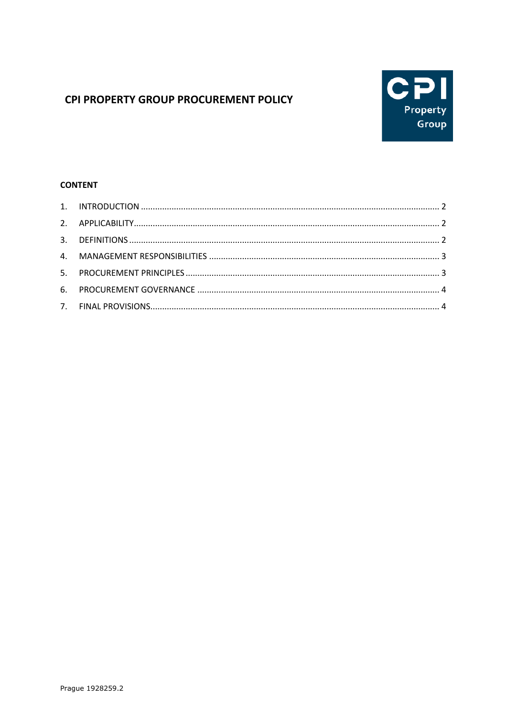# CPI PROPERTY GROUP PROCUREMENT POLICY



# **CONTENT**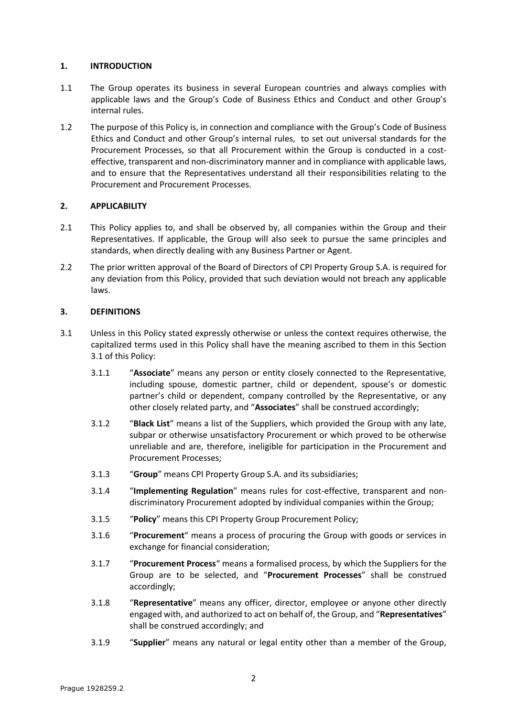## <span id="page-1-0"></span>**1. INTRODUCTION**

- 1.1 The Group operates its business in several European countries and always complies with applicable laws and the Group's Code of Business Ethics and Conduct and other Group's internal rules.
- 1.2 The purpose of this Policy is, in connection and compliance with the Group's Code of Business Ethics and Conduct and other Group's internal rules, to set out universal standards for the Procurement Processes, so that all Procurement within the Group is conducted in a costeffective, transparent and non-discriminatory manner and in compliance with applicable laws, and to ensure that the Representatives understand all their responsibilities relating to the Procurement and Procurement Processes.

# <span id="page-1-1"></span>**2. APPLICABILITY**

- 2.1 This Policy applies to, and shall be observed by, all companies within the Group and their Representatives. If applicable, the Group will also seek to pursue the same principles and standards, when directly dealing with any Business Partner or Agent.
- 2.2 The prior written approval of the Board of Directors of CPI Property Group S.A. is required for any deviation from this Policy, provided that such deviation would not breach any applicable laws.

# <span id="page-1-2"></span>**3. DEFINITIONS**

- <span id="page-1-3"></span>3.1 Unless in this Policy stated expressly otherwise or unless the context requires otherwise, the capitalized terms used in this Policy shall have the meaning ascribed to them in this Section [3.1](#page-1-3) of this Policy:
	- 3.1.1 "**Associate**" means any person or entity closely connected to the Representative, including spouse, domestic partner, child or dependent, spouse's or domestic partner's child or dependent, company controlled by the Representative, or any other closely related party, and "**Associates**" shall be construed accordingly;
	- 3.1.2 "**Black List**" means a list of the Suppliers, which provided the Group with any late, subpar or otherwise unsatisfactory Procurement or which proved to be otherwise unreliable and are, therefore, ineligible for participation in the Procurement and Procurement Processes;
	- 3.1.3 "**Group**" means CPI Property Group S.A. and its subsidiaries;
	- 3.1.4 "**Implementing Regulation**" means rules for cost-effective, transparent and nondiscriminatory Procurement adopted by individual companies within the Group;
	- 3.1.5 "**Policy**" means this CPI Property Group Procurement Policy;
	- 3.1.6 "**Procurement**" means a process of procuring the Group with goods or services in exchange for financial consideration;
	- 3.1.7 "**Procurement Process**" means a formalised process, by which the Suppliers for the Group are to be selected, and "**Procurement Processes**" shall be construed accordingly;
	- 3.1.8 "**Representative**" means any officer, director, employee or anyone other directly engaged with, and authorized to act on behalf of, the Group, and "**Representatives**" shall be construed accordingly; and
	- 3.1.9 "**Supplier**" means any natural or legal entity other than a member of the Group,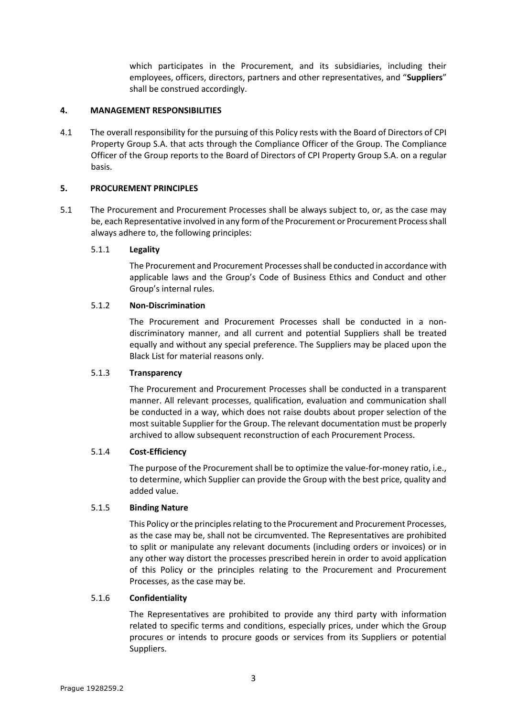which participates in the Procurement, and its subsidiaries, including their employees, officers, directors, partners and other representatives, and "**Suppliers**" shall be construed accordingly.

### <span id="page-2-0"></span>**4. MANAGEMENT RESPONSIBILITIES**

4.1 The overall responsibility for the pursuing of this Policy rests with the Board of Directors of CPI Property Group S.A. that acts through the Compliance Officer of the Group. The Compliance Officer of the Group reports to the Board of Directors of CPI Property Group S.A. on a regular basis.

## <span id="page-2-1"></span>**5. PROCUREMENT PRINCIPLES**

5.1 The Procurement and Procurement Processes shall be always subject to, or, as the case may be, each Representative involved in any form of the Procurement or Procurement Process shall always adhere to, the following principles:

## 5.1.1 **Legality**

The Procurement and Procurement Processes shall be conducted in accordance with applicable laws and the Group's Code of Business Ethics and Conduct and other Group's internal rules.

## 5.1.2 **Non-Discrimination**

The Procurement and Procurement Processes shall be conducted in a nondiscriminatory manner, and all current and potential Suppliers shall be treated equally and without any special preference. The Suppliers may be placed upon the Black List for material reasons only.

#### 5.1.3 **Transparency**

The Procurement and Procurement Processes shall be conducted in a transparent manner. All relevant processes, qualification, evaluation and communication shall be conducted in a way, which does not raise doubts about proper selection of the most suitable Supplier for the Group. The relevant documentation must be properly archived to allow subsequent reconstruction of each Procurement Process.

#### 5.1.4 **Cost-Efficiency**

The purpose of the Procurement shall be to optimize the value-for-money ratio, i.e., to determine, which Supplier can provide the Group with the best price, quality and added value.

#### 5.1.5 **Binding Nature**

This Policy or the principles relating to the Procurement and Procurement Processes, as the case may be, shall not be circumvented. The Representatives are prohibited to split or manipulate any relevant documents (including orders or invoices) or in any other way distort the processes prescribed herein in order to avoid application of this Policy or the principles relating to the Procurement and Procurement Processes, as the case may be.

#### 5.1.6 **Confidentiality**

The Representatives are prohibited to provide any third party with information related to specific terms and conditions, especially prices, under which the Group procures or intends to procure goods or services from its Suppliers or potential Suppliers.